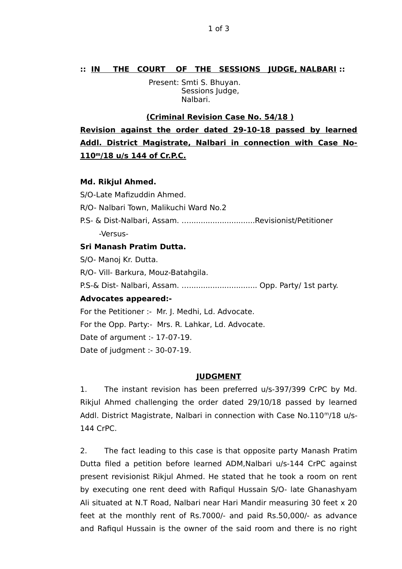## **:: IN THE COURT OF THE SESSIONS JUDGE, NALBARI ::**

 Present: Smti S. Bhuyan. Sessions Judge, Nalbari.

### **(Criminal Revision Case No. 54/18 )**

**Revision against the order dated 29-10-18 passed by learned Addl. District Magistrate, Nalbari in connection with Case No- 110<sup>m</sup> /18 u/s 144 of Cr.P.C.**

### **Md. Rikjul Ahmed.**

S/O-Late Mafizuddin Ahmed. R/O- Nalbari Town, Malikuchi Ward No.2 P.S- & Dist-Nalbari, Assam. …............................Revisionist/Petitioner -Versus-

# **Sri Manash Pratim Dutta.**

S/O- Manoj Kr. Dutta.

R/O- Vill- Barkura, Mouz-Batahgila.

P.S-& Dist- Nalbari, Assam. ................................. Opp. Party/ 1st party.

### **Advocates appeared:-**

For the Petitioner :- Mr. J. Medhi, Ld. Advocate.

For the Opp. Party:- Mrs. R. Lahkar, Ld. Advocate.

Date of argument :- 17-07-19.

Date of judgment :- 30-07-19.

#### **JUDGMENT**

1. The instant revision has been preferred u/s-397/399 CrPC by Md. Rikjul Ahmed challenging the order dated 29/10/18 passed by learned Addl. District Magistrate, Nalbari in connection with Case No.110 $m/18$  u/s-144 CrPC.

2. The fact leading to this case is that opposite party Manash Pratim Dutta filed a petition before learned ADM,Nalbari u/s-144 CrPC against present revisionist Rikjul Ahmed. He stated that he took a room on rent by executing one rent deed with Rafiqul Hussain S/O- late Ghanashyam Ali situated at N.T Road, Nalbari near Hari Mandir measuring 30 feet x 20 feet at the monthly rent of Rs.7000/- and paid Rs.50,000/- as advance and Rafiqul Hussain is the owner of the said room and there is no right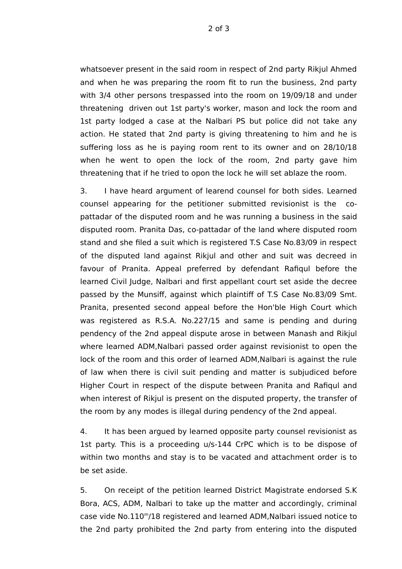2 of 3

whatsoever present in the said room in respect of 2nd party Rikjul Ahmed and when he was preparing the room fit to run the business, 2nd party with 3/4 other persons trespassed into the room on 19/09/18 and under threatening driven out 1st party's worker, mason and lock the room and 1st party lodged a case at the Nalbari PS but police did not take any action. He stated that 2nd party is giving threatening to him and he is suffering loss as he is paying room rent to its owner and on 28/10/18 when he went to open the lock of the room, 2nd party gave him threatening that if he tried to opon the lock he will set ablaze the room.

3. I have heard argument of learend counsel for both sides. Learned counsel appearing for the petitioner submitted revisionist is the copattadar of the disputed room and he was running a business in the said disputed room. Pranita Das, co-pattadar of the land where disputed room stand and she filed a suit which is registered T.S Case No.83/09 in respect of the disputed land against Rikjul and other and suit was decreed in favour of Pranita. Appeal preferred by defendant Rafiqul before the learned Civil Judge, Nalbari and first appellant court set aside the decree passed by the Munsiff, against which plaintiff of T.S Case No.83/09 Smt. Pranita, presented second appeal before the Hon'ble High Court which was registered as R.S.A. No.227/15 and same is pending and during pendency of the 2nd appeal dispute arose in between Manash and Rikjul where learned ADM,Nalbari passed order against revisionist to open the lock of the room and this order of learned ADM,Nalbari is against the rule of law when there is civil suit pending and matter is subjudiced before Higher Court in respect of the dispute between Pranita and Rafiqul and when interest of Rikjul is present on the disputed property, the transfer of the room by any modes is illegal during pendency of the 2nd appeal.

4. It has been argued by learned opposite party counsel revisionist as 1st party. This is a proceeding u/s-144 CrPC which is to be dispose of within two months and stay is to be vacated and attachment order is to be set aside.

5. On receipt of the petition learned District Magistrate endorsed S.K Bora, ACS, ADM, Nalbari to take up the matter and accordingly, criminal case vide No.110<sup>m</sup>/18 registered and learned ADM,Nalbari issued notice to the 2nd party prohibited the 2nd party from entering into the disputed